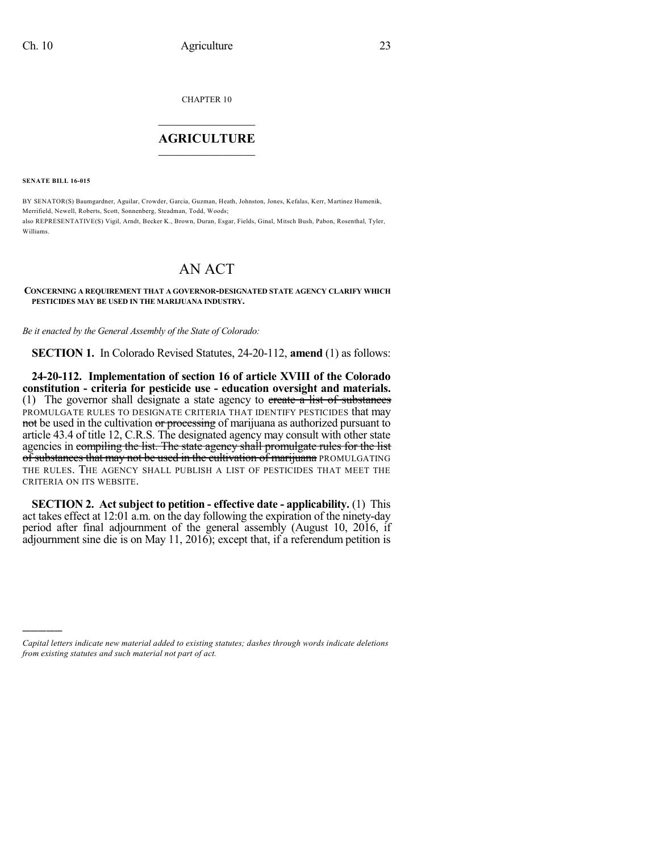CHAPTER 10

## $\overline{\phantom{a}}$  . The set of the set of the set of the set of the set of the set of the set of the set of the set of the set of the set of the set of the set of the set of the set of the set of the set of the set of the set o **AGRICULTURE**  $\_$   $\_$   $\_$   $\_$   $\_$   $\_$   $\_$   $\_$

**SENATE BILL 16-015**

)))))

BY SENATOR(S) Baumgardner, Aguilar, Crowder, Garcia, Guzman, Heath, Johnston, Jones, Kefalas, Kerr, Martinez Humenik, Merrifield, Newell, Roberts, Scott, Sonnenberg, Steadman, Todd, Woods; also REPRESENTATIVE(S) Vigil, Arndt, Becker K., Brown, Duran, Esgar, Fields, Ginal, Mitsch Bush, Pabon, Rosenthal, Tyler, Williams.

## AN ACT

## **CONCERNING A REQUIREMENT THAT A GOVERNOR-DESIGNATED STATE AGENCY CLARIFY WHICH PESTICIDES MAY BE USED IN THE MARIJUANA INDUSTRY.**

*Be it enacted by the General Assembly of the State of Colorado:*

**SECTION 1.** In Colorado Revised Statutes, 24-20-112, **amend** (1) as follows:

**24-20-112. Implementation of section 16 of article XVIII of the Colorado constitution - criteria for pesticide use - education oversight and materials.** (1) The governor shall designate a state agency to create a list of substances PROMULGATE RULES TO DESIGNATE CRITERIA THAT IDENTIFY PESTICIDES that may not be used in the cultivation or processing of marijuana as authorized pursuant to article 43.4 of title 12, C.R.S. The designated agency may consult with other state agencies in compiling the list. The state agency shall promulgate rules for the list of substances that may not be used in the cultivation of marijuana PROMULGATING THE RULES. THE AGENCY SHALL PUBLISH A LIST OF PESTICIDES THAT MEET THE CRITERIA ON ITS WEBSITE.

**SECTION 2. Act subject to petition - effective date - applicability.** (1) This act takes effect at 12:01 a.m. on the day following the expiration of the ninety-day period after final adjournment of the general assembly (August 10, 2016, if adjournment sine die is on May 11, 2016); except that, if a referendum petition is

*Capital letters indicate new material added to existing statutes; dashes through words indicate deletions from existing statutes and such material not part of act.*